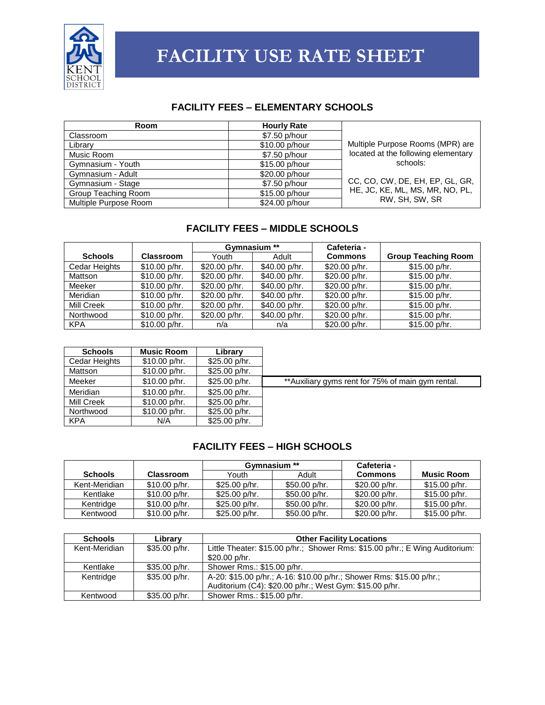

# **FACILITY USE RATE SHEET**

#### **FACILITY FEES – ELEMENTARY SCHOOLS**

| Room                  | <b>Hourly Rate</b> |                                     |
|-----------------------|--------------------|-------------------------------------|
| Classroom             | \$7.50 p/hour      |                                     |
| Library               | \$10.00 p/hour     | Multiple Purpose Rooms (MPR) are    |
| Music Room            | \$7.50 p/hour      | located at the following elementary |
| Gymnasium - Youth     | \$15.00 p/hour     | schools:                            |
| Gymnasium - Adult     | \$20.00 p/hour     |                                     |
| Gymnasium - Stage     | \$7.50 p/hour      | CC, CO, CW, DE, EH, EP, GL, GR,     |
| Group Teaching Room   | \$15.00 p/hour     | HE, JC, KE, ML, MS, MR, NO, PL,     |
| Multiple Purpose Room | \$24.00 p/hour     | RW, SH, SW, SR                      |

#### **FACILITY FEES – MIDDLE SCHOOLS**

|                |                  | Gymnasium **  |               | Cafeteria -    |                            |
|----------------|------------------|---------------|---------------|----------------|----------------------------|
| <b>Schools</b> | <b>Classroom</b> | Youth         | Adult         | <b>Commons</b> | <b>Group Teaching Room</b> |
| Cedar Heights  | \$10.00 p/hr.    | \$20.00 p/hr. | \$40.00 p/hr. | \$20.00 p/hr.  | \$15.00 p/hr.              |
| Mattson        | \$10.00 p/hr.    | \$20.00 p/hr. | \$40.00 p/hr. | \$20.00 p/hr.  | \$15.00 p/hr.              |
| Meeker         | \$10.00 p/hr.    | \$20.00 p/hr. | \$40.00 p/hr. | \$20.00 p/hr.  | \$15.00 p/hr.              |
| Meridian       | \$10.00 p/hr.    | \$20.00 p/hr. | \$40.00 p/hr. | \$20.00 p/hr.  | \$15.00 p/hr.              |
| Mill Creek     | \$10.00 p/hr.    | \$20.00 p/hr. | \$40.00 p/hr. | \$20.00 p/hr.  | \$15.00 p/hr.              |
| Northwood      | \$10.00 p/hr.    | \$20.00 p/hr. | \$40.00 p/hr. | \$20.00 p/hr.  | \$15.00 p/hr.              |
| <b>KPA</b>     | \$10.00 p/hr.    | n/a           | n/a           | \$20.00 p/hr.  | \$15.00 p/hr.              |

| <b>Schools</b> | <b>Music Room</b> | Library       |                                                    |
|----------------|-------------------|---------------|----------------------------------------------------|
| Cedar Heights  | \$10.00 p/hr.     | \$25.00 p/hr. |                                                    |
| Mattson        | \$10.00 p/hr.     | \$25.00 p/hr. |                                                    |
| Meeker         | \$10.00 p/hr.     | \$25.00 p/hr. | ** Auxiliary gyms rent for 75% of main gym rental. |
| Meridian       | \$10.00 p/hr.     | \$25.00 p/hr. |                                                    |
| Mill Creek     | \$10.00 p/hr.     | \$25.00 p/hr. |                                                    |
| Northwood      | \$10.00 p/hr.     | \$25.00 p/hr. |                                                    |
| <b>KPA</b>     | N/A               | \$25.00 p/hr. |                                                    |

# **FACILITY FEES – HIGH SCHOOLS**

|                |                  | Gymnasium **  |               | Cafeteria -    |                   |
|----------------|------------------|---------------|---------------|----------------|-------------------|
| <b>Schools</b> | <b>Classroom</b> | Youth         | Adult         | <b>Commons</b> | <b>Music Room</b> |
| Kent-Meridian  | \$10.00 p/hr.    | \$25.00 p/hr. | \$50.00 p/hr. | $$20.00$ p/hr. | \$15.00 p/hr.     |
| Kentlake       | \$10.00 p/hr.    | \$25.00 p/hr. | \$50.00 p/hr. | $$20.00$ p/hr. | \$15.00 p/hr.     |
| Kentridge      | \$10.00 p/hr.    | \$25.00 p/hr. | \$50.00 p/hr. | \$20.00 p/hr.  | \$15.00 p/hr.     |
| Kentwood       | \$10.00 p/hr.    | \$25.00 p/hr. | \$50.00 p/hr. | \$20.00 p/hr.  | \$15.00 p/hr.     |

| <b>Schools</b> | Library       | <b>Other Facility Locations</b>                                              |
|----------------|---------------|------------------------------------------------------------------------------|
| Kent-Meridian  | \$35.00 p/hr. | Little Theater: \$15.00 p/hr.; Shower Rms: \$15.00 p/hr.; E Wing Auditorium: |
|                |               | \$20.00 p/hr.                                                                |
| Kentlake       | \$35.00 p/hr. | Shower Rms.: \$15.00 p/hr.                                                   |
| Kentridge      | \$35.00 p/hr. | A-20: \$15.00 p/hr.; A-16: \$10.00 p/hr.; Shower Rms: \$15.00 p/hr.;         |
|                |               | Auditorium (C4): \$20.00 p/hr.; West Gym: \$15.00 p/hr.                      |
| Kentwood       | \$35.00 p/hr. | Shower Rms.: \$15.00 p/hr.                                                   |